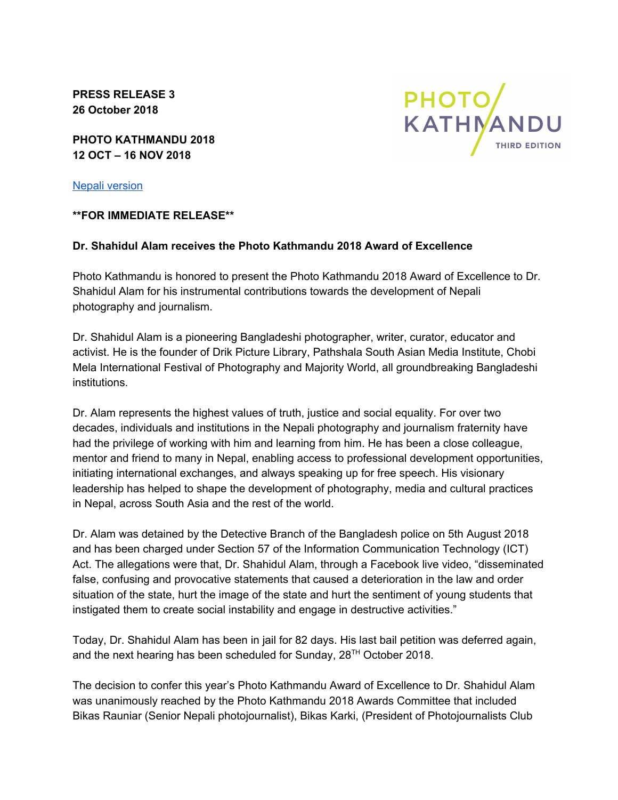**PRESS RELEASE 3 26 October 2018**



**PHOTO KATHMANDU 2018 12 OCT – 16 NOV 2018**

Nepali [version](http://www.photoktm.com/wp-content/uploads/2018/10/Photo_Kathmandu_Press_Release_3_NP.pdf)

## **\*\*FOR IMMEDIATE RELEASE\*\***

## **Dr. Shahidul Alam receives the Photo Kathmandu 2018 Award of Excellence**

Photo Kathmandu is honored to present the Photo Kathmandu 2018 Award of Excellence to Dr. Shahidul Alam for his instrumental contributions towards the development of Nepali photography and journalism.

Dr. Shahidul Alam is a pioneering Bangladeshi photographer, writer, curator, educator and activist. He is the founder of Drik Picture Library, Pathshala South Asian Media Institute, Chobi Mela International Festival of Photography and Majority World, all groundbreaking Bangladeshi institutions.

Dr. Alam represents the highest values of truth, justice and social equality. For over two decades, individuals and institutions in the Nepali photography and journalism fraternity have had the privilege of working with him and learning from him. He has been a close colleague, mentor and friend to many in Nepal, enabling access to professional development opportunities, initiating international exchanges, and always speaking up for free speech. His visionary leadership has helped to shape the development of photography, media and cultural practices in Nepal, across South Asia and the rest of the world.

Dr. Alam was detained by the Detective Branch of the Bangladesh police on 5th August 2018 and has been charged under Section 57 of the Information Communication Technology (ICT) Act. The allegations were that, Dr. Shahidul Alam, through a Facebook live video, "disseminated false, confusing and provocative statements that caused a deterioration in the law and order situation of the state, hurt the image of the state and hurt the sentiment of young students that instigated them to create social instability and engage in destructive activities."

Today, Dr. Shahidul Alam has been in jail for 82 days. His last bail petition was deferred again, and the next hearing has been scheduled for Sunday,  $28<sup>TH</sup>$  October 2018.

The decision to confer this year's Photo Kathmandu Award of Excellence to Dr. Shahidul Alam was unanimously reached by the Photo Kathmandu 2018 Awards Committee that included Bikas Rauniar (Senior Nepali photojournalist), Bikas Karki, (President of Photojournalists Club